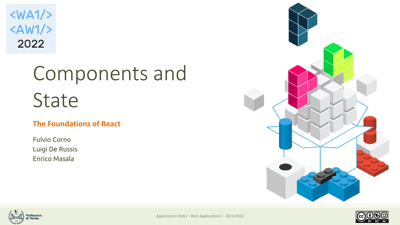$\langle WA1/$  $<$ AW1/> 2022

# Components and State

#### **The Foundations of React**

Fulvio Corno Luigi De Russis Enrico Masala







Applicazioni Web I - Web Applications I - 2021/2022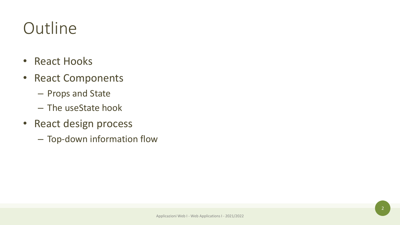### **Outline**

- React Hooks
- React Components
	- Props and State
	- The useState hook
- React design process
	- Top-down information flow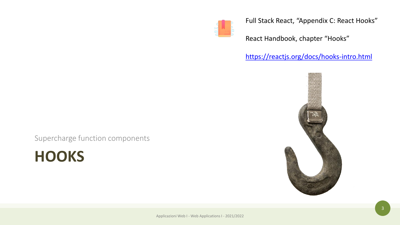

Full Stack React, "Appendix C: React Hooks"

React Handbook, chapter "Hooks"

#### <https://reactjs.org/docs/hooks-intro.html>



Supercharge function components

**HOOKS**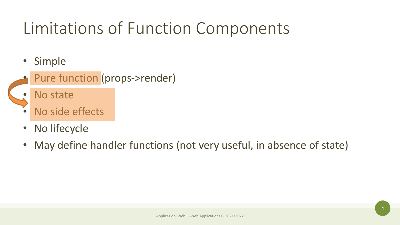### Limitations of Function Components

- Simple
- Pure function (props->render)
- No state
- No side effects
- No lifecycle
- May define handler functions (not very useful, in absence of state)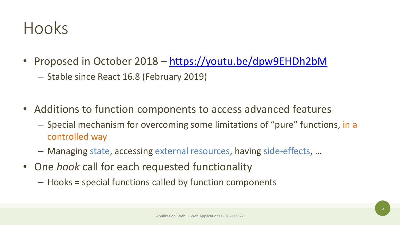#### Hooks

- Proposed in October 2018 <https://youtu.be/dpw9EHDh2bM>
	- Stable since React 16.8 (February 2019)
- Additions to function components to access advanced features
	- Special mechanism for overcoming some limitations of "pure" functions, in a controlled way
	- Managing state, accessing external resources, having side-effects, …
- One *hook* call for each requested functionality
	- Hooks = special functions called by function components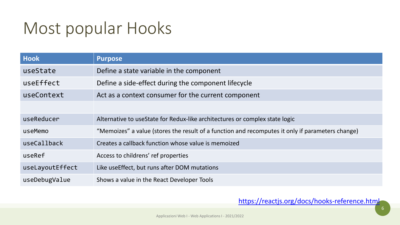#### Most popular Hooks

| <b>Hook</b>     | <b>Purpose</b>                                                                                   |
|-----------------|--------------------------------------------------------------------------------------------------|
| useState        | Define a state variable in the component                                                         |
| useEffect       | Define a side-effect during the component lifecycle                                              |
| useContext      | Act as a context consumer for the current component                                              |
|                 |                                                                                                  |
| useReducer      | Alternative to use State for Redux-like architectures or complex state logic                     |
| useMemo         | "Memoizes" a value (stores the result of a function and recomputes it only if parameters change) |
| useCallback     | Creates a callback function whose value is memoized                                              |
| useRef          | Access to childrens' ref properties                                                              |
| useLayoutEffect | Like useEffect, but runs after DOM mutations                                                     |
| useDebugValue   | Shows a value in the React Developer Tools                                                       |

#### <https://reactjs.org/docs/hooks-reference.html>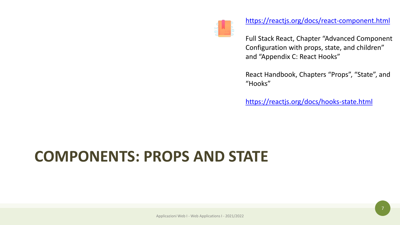

#### <https://reactjs.org/docs/react-component.html>

Full Stack React, Chapter "Advanced Component Configuration with props, state, and children" and "Appendix C: React Hooks"

React Handbook, Chapters "Props", "State", and "Hooks"

<https://reactjs.org/docs/hooks-state.html>

#### **COMPONENTS: PROPS AND STATE**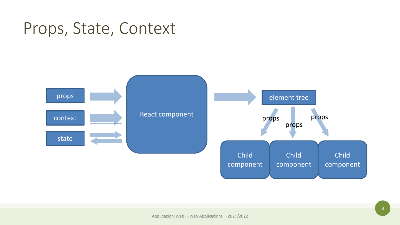#### Props, State, Context

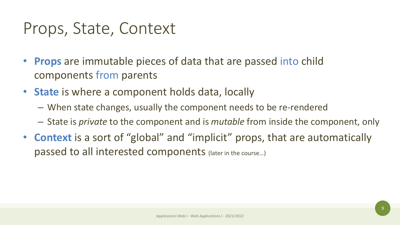#### Props, State, Context

- **Props** are immutable pieces of data that are passed into child components from parents
- **State** is where a component holds data, locally
	- When state changes, usually the component needs to be re-rendered
	- State is *private* to the component and is *mutable* from inside the component, only
- **Context** is a sort of "global" and "implicit" props, that are automatically passed to all interested components (later in the course…)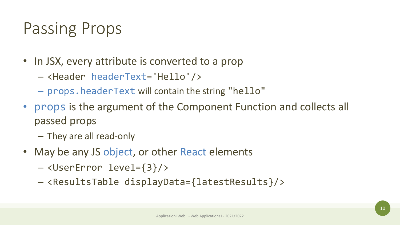#### Passing Props

- In JSX, every attribute is converted to a prop
	- <Header headerText='Hello'/>
	- props.headerText will contain the string "hello"
- props is the argument of the Component Function and collects all passed props
	- They are all read-only
- May be any JS object, or other React elements
	- <UserError level={3}/>
	- <ResultsTable displayData={latestResults}/>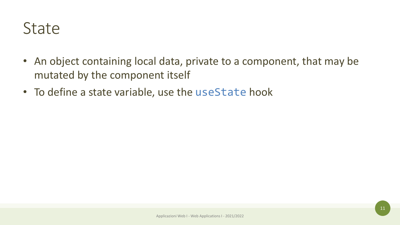#### **State**

- An object containing local data, private to a component, that may be mutated by the component itself
- To define a state variable, use the useState hook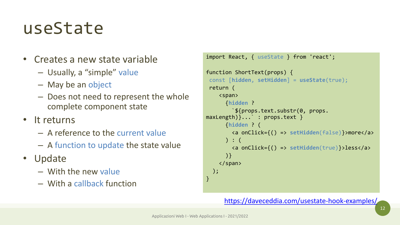### useState

- Creates a new state variable
	- Usually, a "simple" value
	- May be an object
	- Does not need to represent the whole complete component state
- It returns
	- A reference to the current value
	- A function to update the state value
- Update
	- With the new value
	- With a callback function

```
import React, { useState } from 'react';
function ShortText(props) {
const [hidden, setHidden] = useState(true);
return (
    <span>
      {hidden ?
        `${props.text.substr(0, props. 
maxLength)}...` : props.text }
      {hidden ? (
        <a onClick={() => setHidden(false)}>more</a>
      ) : (
        <a onClick={() => setHidden(true)}>less</a>
      )}
    </span>
 );
}
```
#### <https://daveceddia.com/usestate-hook-examples/>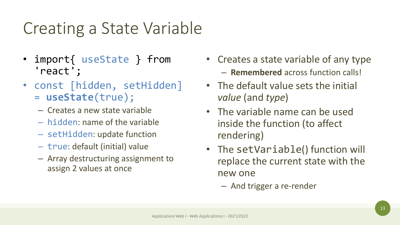### Creating a State Variable

- import{ useState } from 'react';
- const [hidden, setHidden] = **useState**(true);
	- Creates a new state variable
	- hidden: name of the variable
	- setHidden: update function
	- true: default (initial) value
	- Array destructuring assignment to assign 2 values at once
- Creates a state variable of any type – **Remembered** across function calls!
- The default value sets the initial *value* (and *type*)
- The variable name can be used inside the function (to affect rendering)
- The setVariable() function will replace the current state with the new one
	- And trigger a re-render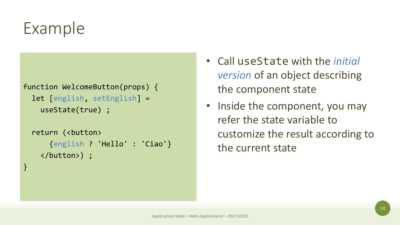### Example

}

```
function WelcomeButton(props) {
  let [english, setEnglish] = 
    useState(true) ;
```

```
return (<br/>button>
    {english ? 'Hello' : 'Ciao'}
  </button>) ;
```
- Call useState with the *initial version* of an object describing the component state
- Inside the component, you may refer the state variable to customize the result according to the current state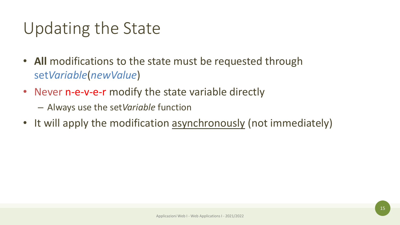### Updating the State

- **All** modifications to the state must be requested through set*Variable*(*newValue*)
- Never n-e-v-e-r modify the state variable directly
	- Always use the set*Variable* function
- It will apply the modification asynchronously (not immediately)

Applicazioni Web I - Web Applications I - 2021/2022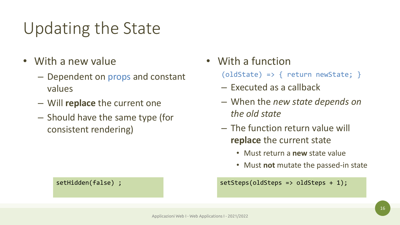### Updating the State

- With a new value
	- Dependent on props and constant values
	- Will **replace** the current one
	- Should have the same type (for consistent rendering)

#### • With a function

(oldState) => { return newState; }

- Executed as a callback
- When the *new state depends on the old state*
- The function return value will **replace** the current state
	- Must return a **new** state value
	- Must **not** mutate the passed-in state

setHidden(false) ; setSteps(oldSteps => oldSteps + 1);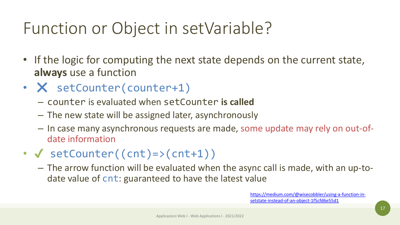### Function or Object in setVariable?

- If the logic for computing the next state depends on the current state, **always** use a function
- X setCounter(counter+1)
	- counter is evaluated when setCounter **is called**
	- The new state will be assigned later, asynchronously
	- In case many asynchronous requests are made, some update may rely on out-ofdate information
- $\checkmark$  setCounter((cnt)=>(cnt+1))
	- The arrow function will be evaluated when the async call is made, with an up-todate value of cnt: guaranteed to have the latest value

[https://medium.com/@wisecobbler/using-a-function-in](https://medium.com/@wisecobbler/using-a-function-in-setstate-instead-of-an-object-1f5cfd6e55d1)setstate-instead-of-an-object-1f5cfd6e55d1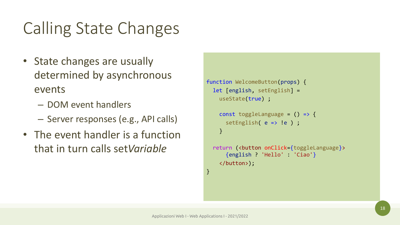### Calling State Changes

- State changes are usually determined by asynchronous events
	- DOM event handlers
	- Server responses (e.g., API calls)
- The event handler is a function that in turn calls set*Variable*

```
function WelcomeButton(props) {
 let [english, setEnglish] =
   useState(true) ;
```

```
const toggleLanguage = () => {
 setEnglish( e => !e ) ;
}
```

```
return (<br/>button onClick={toggleLanguage}>
    {english ? 'Hello' : 'Ciao'}
 </button>);
```
}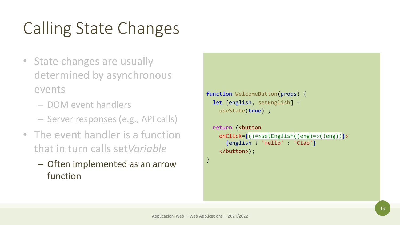## Calling State Changes

- State changes are usually determined by asynchronous events
	- DOM event handlers
	- Server responses (e.g., API calls)
- The event handler is a function that in turn calls set*Variable*
	- Often implemented as an arrow function

```
function WelcomeButton(props) {
 let [english, setEnglish] =
   useState(true) ;
```

```
return (<br/>button
  onClick={()=>setEnglish((eng)=>(!eng))}>
    {english ? 'Hello' : 'Ciao'}
  </button>);
```
}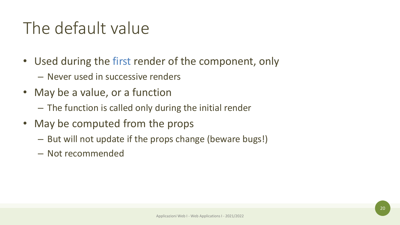#### The default value

- Used during the first render of the component, only
	- Never used in successive renders
- May be a value, or a function
	- The function is called only during the initial render
- May be computed from the props
	- But will not update if the props change (beware bugs!)
	- Not recommended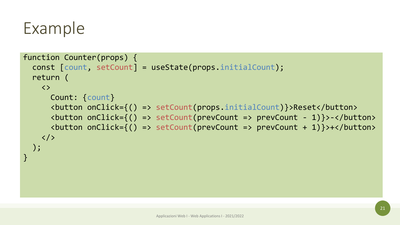#### Example

```
function Counter(props) {
  const [count, setCount] = useState(props.initialCount);
  return (
    \langle \rangleCount: {count}
      <button onClick={() => setCount(props.initialCount)}>Reset</button>
      <button onClick={() => setCount(prevCount => prevCount - 1)}>-</button>
      <button onClick={() => setCount(prevCount => prevCount + 1)}>+</button>
    \langle \rangle);
}
```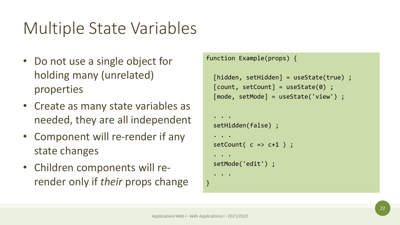### Multiple State Variables

- Do not use a single object for holding many (unrelated) properties
- Create as many state variables as needed, they are all independent
- Component will re-render if any state changes
- Children components will rerender only if *their* props change

```
function Example(props) {
  [hidden, setHidden] = useState(true) ;
  [count, setCount] = useState(0);[mode, setMode] = useState('view') ;
```

```
. . .
setHidden(false) ;
. . .
setCount(c \Rightarrow c+1);
. . .
setMode('edit') ;
 . . .
```
}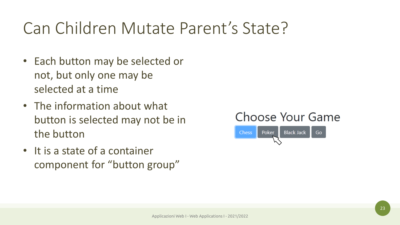#### Can Children Mutate Parent's State?

- Each button may be selected or not, but only one may be selected at a time
- The information about what button is selected may not be in the button
- It is a state of a container component for "button group"



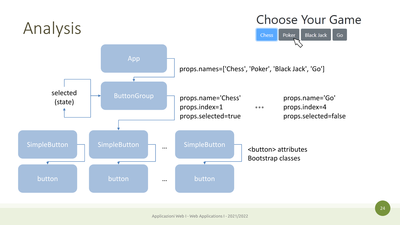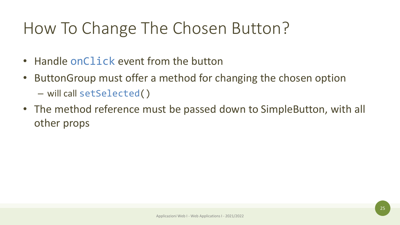### How To Change The Chosen Button?

- Handle onClick event from the button
- ButtonGroup must offer a method for changing the chosen option – will call setSelected()
- The method reference must be passed down to SimpleButton, with all other props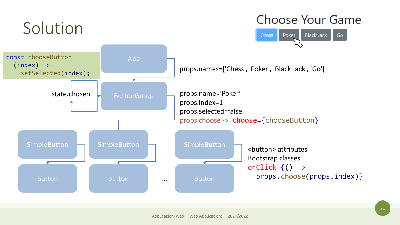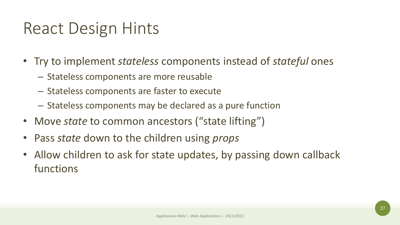#### React Design Hints

- Try to implement *stateless* components instead of *stateful* ones
	- Stateless components are more reusable
	- Stateless components are faster to execute
	- Stateless components may be declared as a pure function
- Move *state* to common ancestors ("state lifting")
- Pass *state* down to the children using *props*
- Allow children to ask for state updates, by passing down callback functions